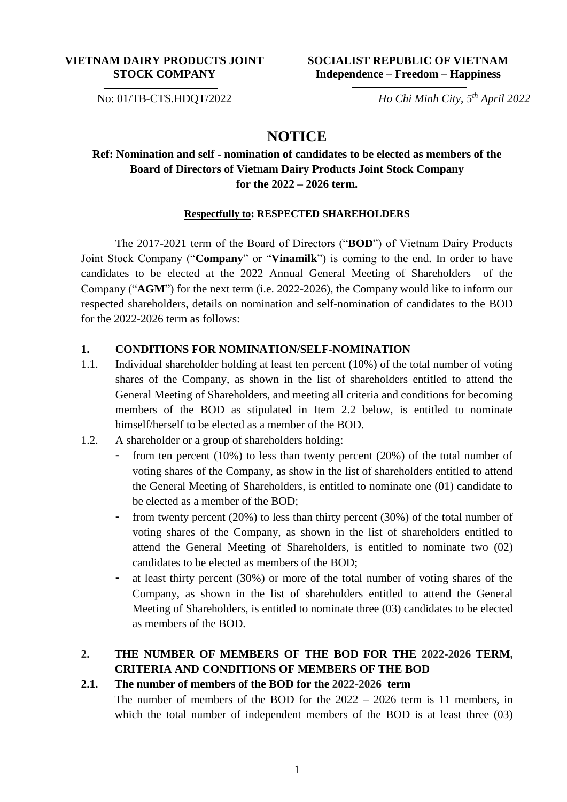### **VIETNAM DAIRY PRODUCTS JOINT STOCK COMPANY**

### **SOCIALIST REPUBLIC OF VIETNAM Independence – Freedom – Happiness**

No: 01/TB-CTS.HDQT/2022

## *Ho Chi Minh City, 5 th April 2022*

# **NOTICE**

## **Ref: Nomination and self - nomination of candidates to be elected as members of the Board of Directors of Vietnam Dairy Products Joint Stock Company for the 2022 – 2026 term.**

#### **Respectfully to: RESPECTED SHAREHOLDERS**

The 2017-2021 term of the Board of Directors ("**BOD**") of Vietnam Dairy Products Joint Stock Company ("**Company**" or "**Vinamilk**") is coming to the end. In order to have candidates to be elected at the 2022 Annual General Meeting of Shareholders of the Company ("**AGM**") for the next term (i.e. 2022-2026), the Company would like to inform our respected shareholders, details on nomination and self-nomination of candidates to the BOD for the 2022-2026 term as follows:

### **1. CONDITIONS FOR NOMINATION/SELF-NOMINATION**

- 1.1. Individual shareholder holding at least ten percent (10%) of the total number of voting shares of the Company, as shown in the list of shareholders entitled to attend the General Meeting of Shareholders, and meeting all criteria and conditions for becoming members of the BOD as stipulated in Item 2.2 below, is entitled to nominate himself/herself to be elected as a member of the BOD.
- 1.2. A shareholder or a group of shareholders holding:
	- from ten percent (10%) to less than twenty percent (20%) of the total number of voting shares of the Company, as show in the list of shareholders entitled to attend the General Meeting of Shareholders, is entitled to nominate one (01) candidate to be elected as a member of the BOD;
	- from twenty percent (20%) to less than thirty percent (30%) of the total number of voting shares of the Company, as shown in the list of shareholders entitled to attend the General Meeting of Shareholders, is entitled to nominate two (02) candidates to be elected as members of the BOD;
	- at least thirty percent (30%) or more of the total number of voting shares of the Company, as shown in the list of shareholders entitled to attend the General Meeting of Shareholders, is entitled to nominate three (03) candidates to be elected as members of the BOD.

## **2. THE NUMBER OF MEMBERS OF THE BOD FOR THE 2022-2026 TERM, CRITERIA AND CONDITIONS OF MEMBERS OF THE BOD**

### **2.1. The number of members of the BOD for the 2022-2026 term**

The number of members of the BOD for the 2022 – 2026 term is 11 members, in which the total number of independent members of the BOD is at least three (03)